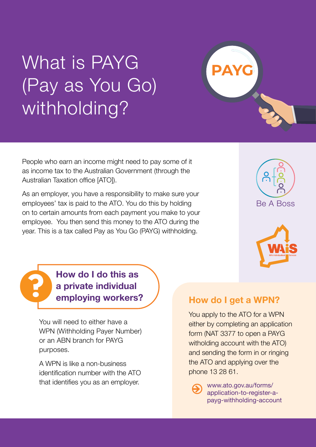## What is PAYG (Pay as You Go) withholding?

People who earn an income might need to pay some of it as income tax to the Australian Government (through the Australian Taxation office [ATO]).

As an employer, you have a responsibility to make sure your employees' tax is paid to the ATO. You do this by holding on to certain amounts from each payment you make to your employee. You then send this money to the ATO during the year. This is a tax called Pay as You Go (PAYG) withholding.





**How do I do this as a private individual employing workers?**

**?**

You will need to either have a WPN (Withholding Payer Number) or an ABN branch for PAYG purposes.

A WPN is like a non-business identification number with the ATO that identifies you as an employer.

## **How do I get a WPN?**

**PAYG**

You apply to the ATO for a WPN either by completing an application form (NAT 3377 to open a PAYG witholding account with the ATO) and sending the form in or ringing the ATO and applying over the phone 13 28 61.

> [www.ato.gov.au/forms/](http://www.ato.gov.au/forms/application-to-register-a-payg-withholding-account) [application-to-register-a](http://www.ato.gov.au/forms/application-to-register-a-payg-withholding-account)[payg-withholding-account](http://www.ato.gov.au/forms/application-to-register-a-payg-withholding-account)